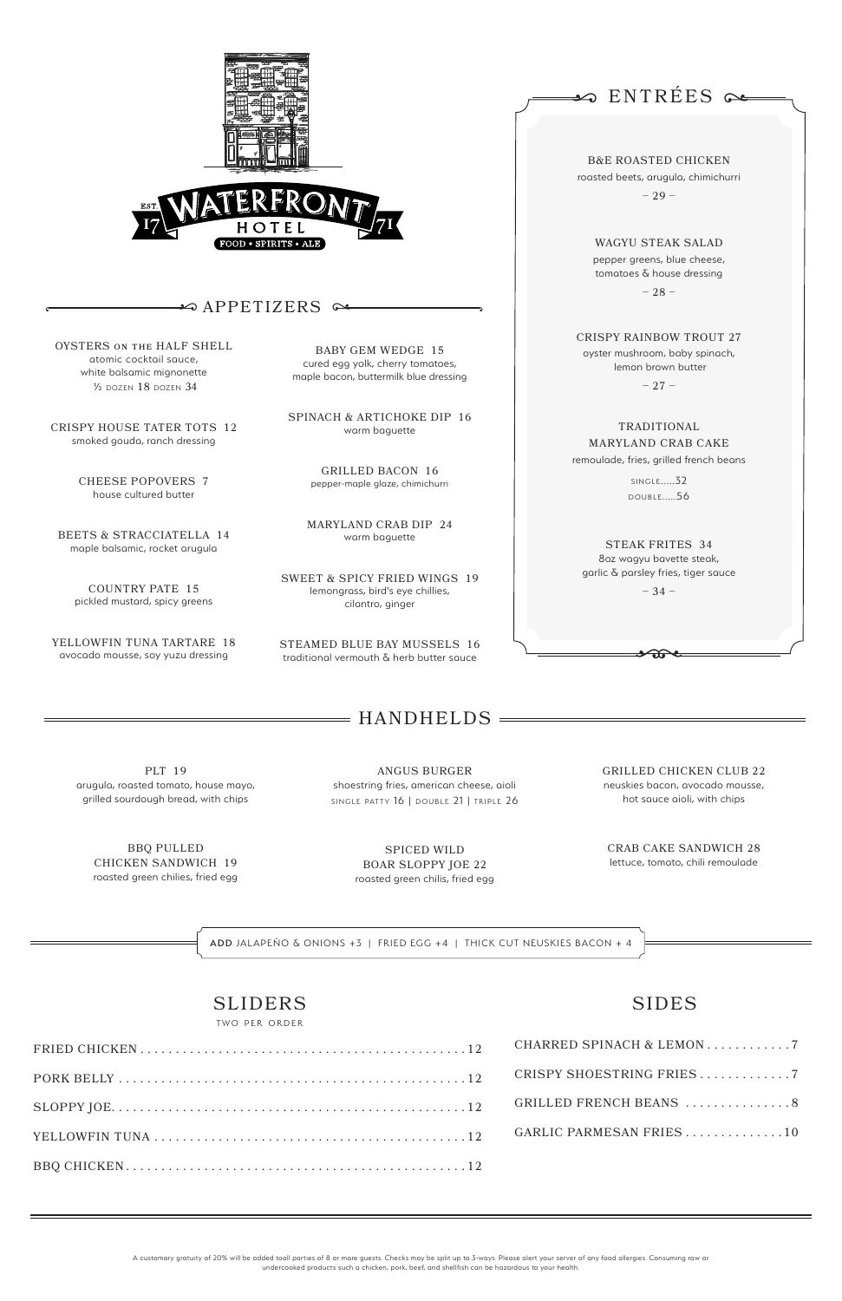



# $\curvearrowleft$   $\curvearrowright$   $\curvearrowright$   $\curvearrowright$   $\curvearrowright$   $\curvearrowright$   $\curvearrowright$   $\curvearrowright$   $\curvearrowright$   $\curvearrowright$   $\curvearrowright$   $\curvearrowright$   $\curvearrowright$   $\curvearrowright$   $\curvearrowright$   $\curvearrowright$   $\curvearrowright$   $\curvearrowright$   $\curvearrowright$   $\curvearrowright$   $\curvearrowright$   $\curvearrowright$   $\curvearrowright$   $\curvearrowright$   $\curvearrowright$   $\curvearrowright$   $\curvearrowright$   $\curvearrowright$   $\curvearrowright$   $\curvearrowright$   $\curvearrowright$   $\curvearrow$

PLT 19 arugula, roasted tomato, house mayo, grilled sourdough bread, with chips

ANGUS BURGER shoestring fries, american cheese, aioli SINGLE PATTY 16 | DOUBLE 21 | TRIPLE 26

BBQ PULLED CHICKEN SANDWICH 19 roasted green chilies, fried egg

SPICED WILD BOAR SLOPPY JOE 22 roasted green chilis, fried egg GRILLED CHICKEN CLUB 22 neuskies bacon, avocado mousse, hot sauce aioli, with chips

CRAB CAKE SANDWICH 28 lettuce, tomato, chili remoulade

A customary gratuity of 20% will be added toall parties of 8 or more guests. Checks may be split up to 3-ways. Please alert your server of any food allergies. Consuming raw or undercooked products such a chicken, pork, beef, and shellfish can be hazardous to your health.

B&E ROASTED CHICKEN roasted beets, arugula, chimichurri

– 29 –

WAGYU STEAK SALAD pepper greens, blue cheese, tomatoes & house dressing

– 28 –

CRISPY RAINBOW TROUT 27 oyster mushroom, baby spinach, lemon brown butter

 $-27-$ 

TRADITIONAL MARYLAND CRAB CAKE remoulade, fries, grilled french beans

> **SINGLE.....32** DOUBLE.....56

STEAK FRITES 34 8oz wagyu bavette steak, garlic & parsley fries, tiger sauce

– 34 –

ဆူ

# $=$  HANDHELDS  $=$

# SLIDERS

TWO PER ORDER

OYSTERS on the HALF SHELL atomic cocktail sauce, white balsamic mignonette ½ dozen 18 dozen 34

CRISPY HOUSE TATER TOTS 12 smoked gouda, ranch dressing

> CHEESE POPOVERS 7 house cultured butter

| CRISPY SHOESTRING FRIES 7 |
|---------------------------|
| GRILLED FRENCH BEANS 8    |
| GARLIC PARMESAN FRIES10   |
|                           |

BEETS & STRACCIATELLA 14 maple balsamic, rocket arugula

COUNTRY PATE 15 pickled mustard, spicy greens

YELLOWFIN TUNA TARTARE 18 avocado mousse, soy yuzu dressing

BABY GEM WEDGE 15 cured egg yolk, cherry tomatoes, maple bacon, buttermilk blue dressing

SPINACH & ARTICHOKE DIP 16 warm baguette

> GRILLED BACON 16 pepper-maple glaze, chimichurri

MARYLAND CRAB DIP 24 warm baguette

SWEET & SPICY FRIED WINGS 19 lemongrass, bird's eye chillies, cilantro, ginger

STEAMED BLUE BAY MUSSELS 16 traditional vermouth & herb butter sauce

 $\clubsuit$  ENTREES  $\curvearrowright$ 

# SIDES

ADD JALAPEÑO & ONIONS +3 | FRIED EGG +4 | THICK CUT NEUSKIES BACON + 4